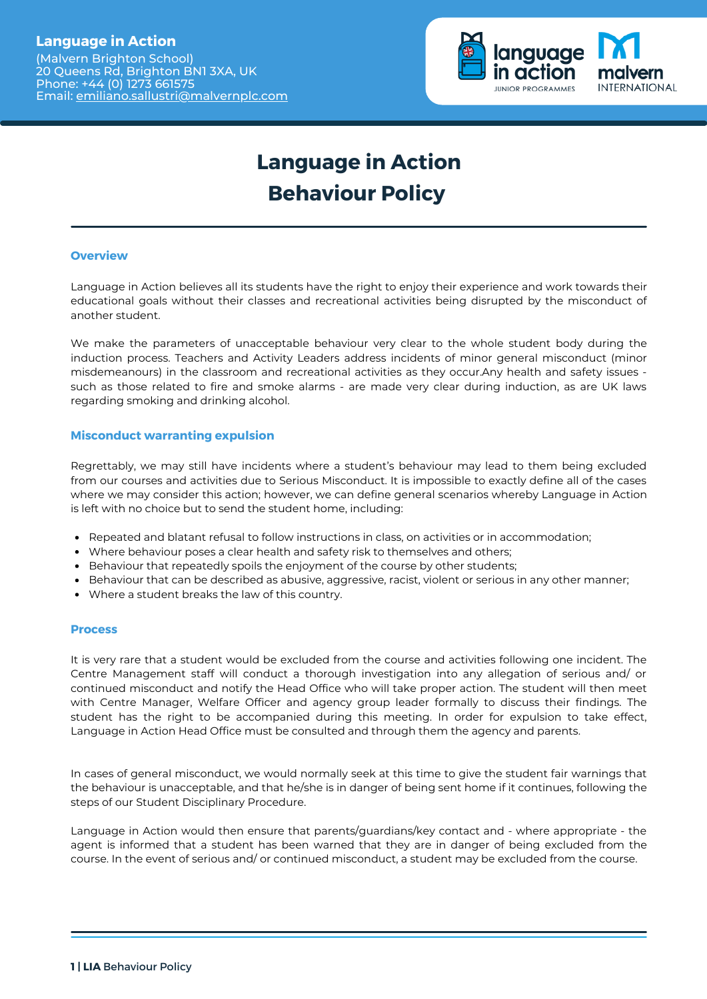## **Language in Action**

(Malvern Brighton School) 20 Queens Rd, Brighton BN1 3XA, UK Phone: +44 (0) 1273 661575 Email: [emiliano.sallustri@malvernplc.com](mailto:emiliano.sallustri@malvernplc.com)



# **Language in Action Behaviour Policy**

#### **Overview**

Language in Action believes all its students have the right to enjoy their experience and work towards their educational goals without their classes and recreational activities being disrupted by the misconduct of another student.

We make the parameters of unacceptable behaviour very clear to the whole student body during the induction process. Teachers and Activity Leaders address incidents of minor general misconduct (minor misdemeanours) in the classroom and recreational activities as they occur.Any health and safety issues such as those related to fire and smoke alarms - are made very clear during induction, as are UK laws regarding smoking and drinking alcohol.

#### **Misconduct warranting expulsion**

Regrettably, we may still have incidents where a student's behaviour may lead to them being excluded from our courses and activities due to Serious Misconduct. It is impossible to exactly define all of the cases where we may consider this action; however, we can define general scenarios whereby Language in Action is left with no choice but to send the student home, including:

- Repeated and blatant refusal to follow instructions in class, on activities or in accommodation;
- Where behaviour poses a clear health and safety risk to themselves and others;
- **Behaviour that repeatedly spoils the enjoyment of the course by other students;**
- $\bullet$  Behaviour that can be described as abusive, aggressive, racist, violent or serious in any other manner;
- Where a student breaks the law of this country.

#### **Process**

It is very rare that a student would be excluded from the course and activities following one incident. The Centre Management staff will conduct a thorough investigation into any allegation of serious and/ or continued misconduct and notify the Head Office who will take proper action. The student will then meet with Centre Manager, Welfare Officer and agency group leader formally to discuss their findings. The student has the right to be accompanied during this meeting. In order for expulsion to take effect, Language in Action Head Office must be consulted and through them the agency and parents.

In cases of general misconduct, we would normally seek at this time to give the student fair warnings that the behaviour is unacceptable, and that he/she is in danger of being sent home if it continues, following the steps of our Student Disciplinary Procedure.

Language in Action would then ensure that parents/guardians/key contact and - where appropriate - the agent is informed that a student has been warned that they are in danger of being excluded from the course. In the event of serious and/ or continued misconduct, a student may be excluded from the course.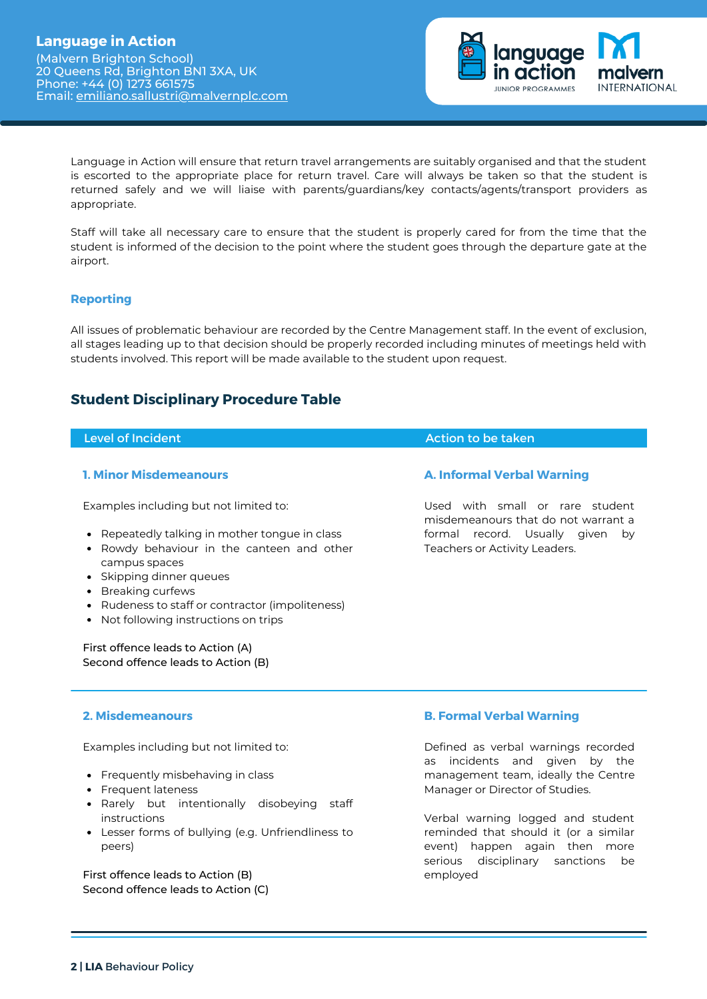

Language in Action will ensure that return travel arrangements are suitably organised and that the student is escorted to the appropriate place for return travel. Care will always be taken so that the student is returned safely and we will liaise with parents/guardians/key contacts/agents/transport providers as appropriate.

Staff will take all necessary care to ensure that the student is properly cared for from the time that the student is informed of the decision to the point where the student goes through the departure gate at the airport.

#### **Reporting**

All issues of problematic behaviour are recorded by the Centre Management staff. In the event of exclusion, all stages leading up to that decision should be properly recorded including minutes of meetings held with students involved. This report will be made available to the student upon request.

## **Student Disciplinary Procedure Table**

| <b>Level of Incident</b>                                                                                                                                                                                                                                                                                       | Action to be taken                                                     |
|----------------------------------------------------------------------------------------------------------------------------------------------------------------------------------------------------------------------------------------------------------------------------------------------------------------|------------------------------------------------------------------------|
| <b>1. Minor Misdemeanours</b>                                                                                                                                                                                                                                                                                  | <b>A. Informal Verbal Warning</b>                                      |
| Examples including but not limited to:                                                                                                                                                                                                                                                                         | Used with small or rare student<br>misdemeanours that do not warrant a |
| Repeatedly talking in mother tongue in class<br>$\bullet$<br>Rowdy behaviour in the canteen and other<br>٠<br>campus spaces<br>Skipping dinner gueues<br>$\bullet$<br>Breaking curfews<br>$\bullet$<br>Rudeness to staff or contractor (impoliteness)<br>$\bullet$<br>Not following instructions on trips<br>٠ | formal record. Usually given<br>by<br>Teachers or Activity Leaders.    |
| First offence leads to Action (A)<br>Second offence leads to Action (B)                                                                                                                                                                                                                                        |                                                                        |

#### **2. Misdemeanours**

Examples including but not limited to:

- Frequently misbehaving in class
- Frequent lateness
- Rarely but intentionally disobeying staff instructions
- Lesser forms of bullying (e.g. Unfriendliness to peers)

First offence leads to Action (B) Second offence leads to Action (C)

#### **B. Formal Verbal Warning**

Defined as verbal warnings recorded as incidents and given by the management team, ideally the Centre Manager or Director of Studies.

Verbal warning logged and student reminded that should it (or a similar event) happen again then more serious disciplinary sanctions be employed